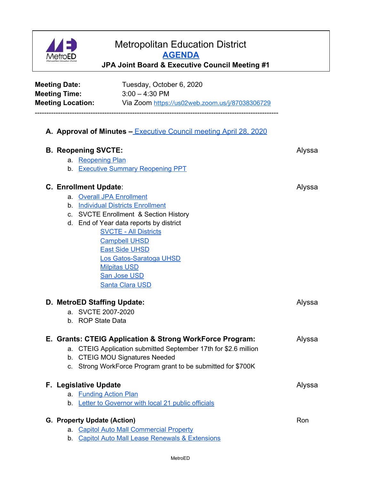

## Metropolitan Education District **[AGENDA](http://fbsd.metroed.net/dwelch/Executive%20Council/JPA%20Joint%20Executive%20Council%20Meeting%2010-6-20%20Packet.pdf) JPA Joint Board & Executive Council Meeting #1**

| <b>Meeting Date:</b><br><b>Meeting Time:</b> |                                         | Tuesday, October 6, 2020<br>$3:00 - 4:30$ PM<br>Meeting Location: Via Zoom https://us02web.zoom.us/j/87038306729 |        |
|----------------------------------------------|-----------------------------------------|------------------------------------------------------------------------------------------------------------------|--------|
|                                              |                                         | A. Approval of Minutes - Executive Council meeting April 28, 2020                                                |        |
|                                              | <b>B. Reopening SVCTE:</b>              |                                                                                                                  | Alyssa |
|                                              | a. Reopening Plan                       |                                                                                                                  |        |
|                                              |                                         | b. Executive Summary Reopening PPT                                                                               |        |
|                                              | <b>C. Enrollment Update:</b>            |                                                                                                                  | Alyssa |
|                                              |                                         | a. Overall JPA Enrollment                                                                                        |        |
|                                              |                                         | b. Individual Districts Enrollment                                                                               |        |
|                                              |                                         | c. SVCTE Enrollment & Section History                                                                            |        |
|                                              | d. End of Year data reports by district |                                                                                                                  |        |
|                                              |                                         | <b>SVCTE - All Districts</b>                                                                                     |        |
|                                              |                                         | <b>Campbell UHSD</b>                                                                                             |        |
|                                              |                                         | <b>East Side UHSD</b>                                                                                            |        |
|                                              |                                         | Los Gatos-Saratoga UHSD<br><b>Milpitas USD</b>                                                                   |        |
|                                              |                                         | San Jose USD                                                                                                     |        |
|                                              |                                         | <b>Santa Clara USD</b>                                                                                           |        |
|                                              |                                         | D. MetroED Staffing Update:                                                                                      | Alyssa |
|                                              |                                         | a. SVCTE 2007-2020                                                                                               |        |
|                                              | b. ROP State Data                       |                                                                                                                  |        |
|                                              |                                         | E. Grants: CTEIG Application & Strong WorkForce Program:                                                         | Alyssa |
|                                              |                                         | a. CTEIG Application submitted September 17th for \$2.6 million                                                  |        |
|                                              |                                         | b. CTEIG MOU Signatures Needed                                                                                   |        |
|                                              |                                         | c. Strong WorkForce Program grant to be submitted for \$700K                                                     |        |
|                                              | F. Legislative Update                   |                                                                                                                  | Alyssa |
|                                              |                                         | a. Funding Action Plan                                                                                           |        |
|                                              |                                         | b. Letter to Governor with local 21 public officials                                                             |        |
|                                              | G. Property Update (Action)             |                                                                                                                  | Ron    |
|                                              |                                         | a. Capitol Auto Mall Commercial Property                                                                         |        |

b. Capitol Auto Mall Lease Renewals & [Extensions](http://fbsd.metroed.net/dwelch/Executive%20Council/b.%20JPA%20Executive%20Council%209-29-20%20Lease%20Renewals%20(3)%20(1).pdf)